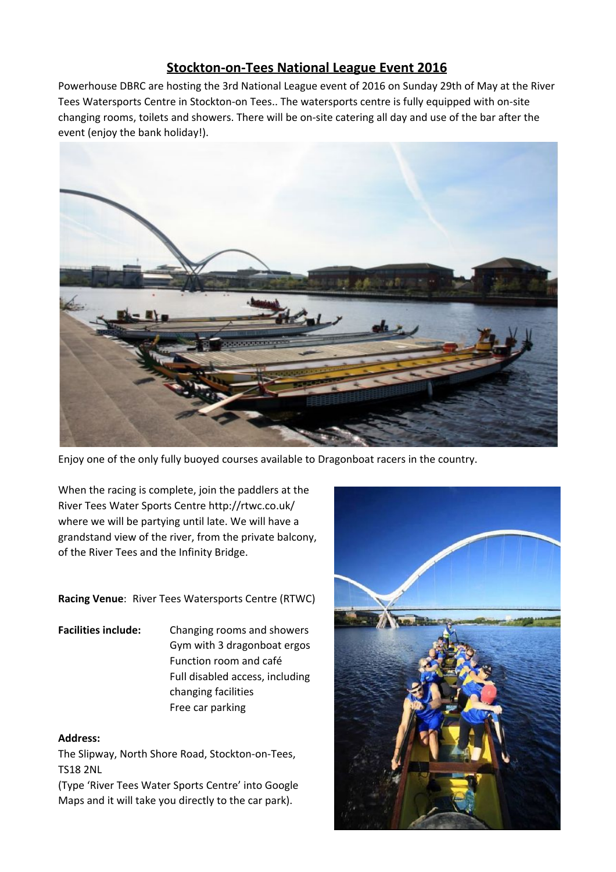# **Stockton-on-Tees National League Event 2016**

Powerhouse DBRC are hosting the 3rd National League event of 2016 on Sunday 29th of May at the River Tees Watersports Centre in Stockton-on Tees.. The watersports centre is fully equipped with on-site changing rooms, toilets and showers. There will be on-site catering all day and use of the bar after the event (enjoy the bank holiday!).



Enjoy one of the only fully buoyed courses available to Dragonboat racers in the country.

When the racing is complete, join the paddlers at the River Tees Water Sports Centre http://rtwc.co.uk/ where we will be partying until late. We will have a grandstand view of the river, from the private balcony, of the River Tees and the Infinity Bridge.

**Racing Venue**: River Tees Watersports Centre (RTWC)

**Facilities include:** Changing rooms and showers Gym with 3 dragonboat ergos Function room and café Full disabled access, including changing facilities Free car parking

#### **Address:**

The Slipway, North Shore Road, Stockton-on-Tees, TS18 2NL

(Type 'River Tees Water Sports Centre' into Google Maps and it will take you directly to the car park).

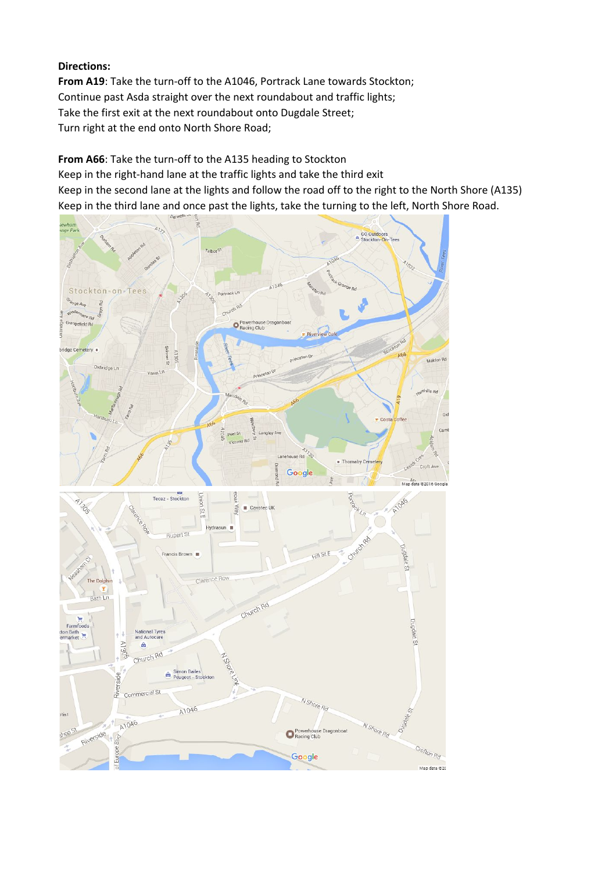## **Directions:**

From A19: Take the turn-off to the A1046, Portrack Lane towards Stockton; Continue past Asda straight over the next roundabout and traffic lights; Take the first exit at the next roundabout onto Dugdale Street; Turn right at the end onto North Shore Road;

From A66: Take the turn-off to the A135 heading to Stockton

Keep in the right-hand lane at the traffic lights and take the third exit Keep in the second lane at the lights and follow the road off to the right to the North Shore (A135) Keep in the third lane and once past the lights, take the turning to the left, North Shore Road.

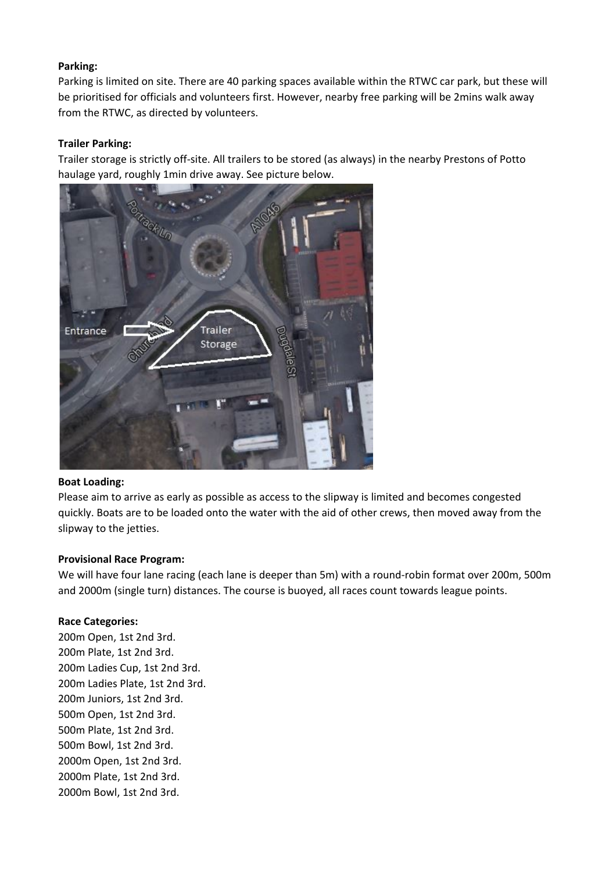## **Parking:**

Parking is limited on site. There are 40 parking spaces available within the RTWC car park, but these will be prioritised for officials and volunteers first. However, nearby free parking will be 2mins walk away from the RTWC, as directed by volunteers.

## **Trailer Parking:**

Trailer storage is strictly off-site. All trailers to be stored (as always) in the nearby Prestons of Potto haulage yard, roughly 1min drive away. See picture below.



#### **Boat Loading:**

Please aim to arrive as early as possible as access to the slipway is limited and becomes congested quickly. Boats are to be loaded onto the water with the aid of other crews, then moved away from the slipway to the jetties.

#### **Provisional Race Program:**

We will have four lane racing (each lane is deeper than 5m) with a round-robin format over 200m, 500m and 2000m (single turn) distances. The course is buoyed, all races count towards league points.

#### **Race Categories:**

200m Open, 1st 2nd 3rd. 200m Plate, 1st 2nd 3rd. 200m Ladies Cup, 1st 2nd 3rd. 200m Ladies Plate, 1st 2nd 3rd. 200m Juniors, 1st 2nd 3rd. 500m Open, 1st 2nd 3rd. 500m Plate, 1st 2nd 3rd. 500m Bowl, 1st 2nd 3rd. 2000m Open, 1st 2nd 3rd. 2000m Plate, 1st 2nd 3rd. 2000m Bowl, 1st 2nd 3rd.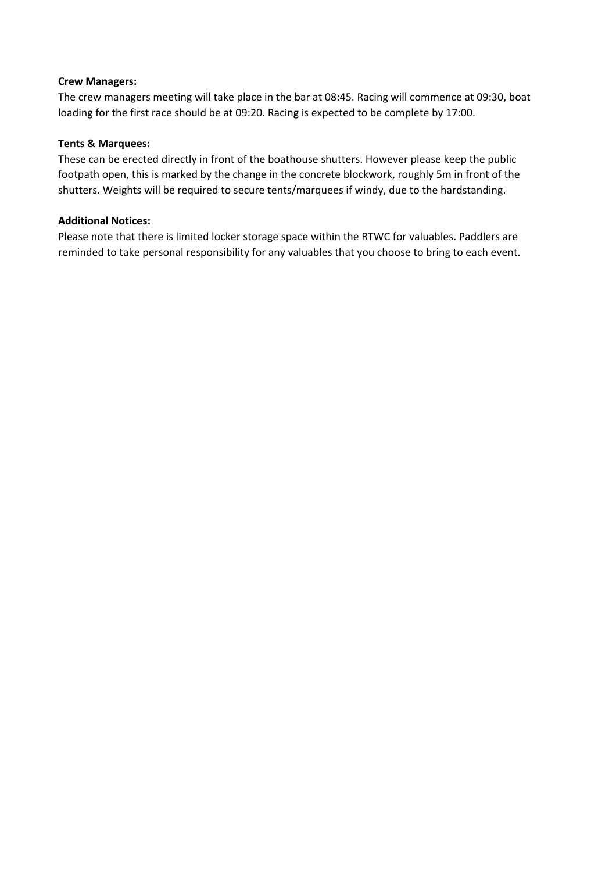## **Crew Managers:**

The crew managers meeting will take place in the bar at 08:45. Racing will commence at 09:30, boat loading for the first race should be at 09:20. Racing is expected to be complete by 17:00.

## **Tents & Marquees:**

These can be erected directly in front of the boathouse shutters. However please keep the public footpath open, this is marked by the change in the concrete blockwork, roughly 5m in front of the shutters. Weights will be required to secure tents/marquees if windy, due to the hardstanding.

## **Additional Notices:**

Please note that there is limited locker storage space within the RTWC for valuables. Paddlers are reminded to take personal responsibility for any valuables that you choose to bring to each event.